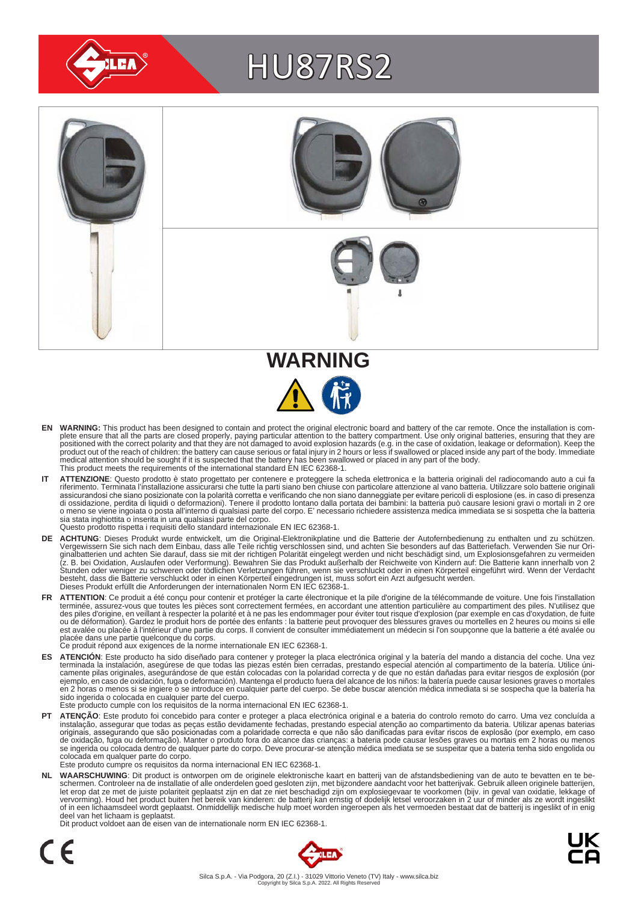

# HU87RS2



- EN WARNING: This product has been designed to contain and protect the original electronic board and battery of the car remote. Once the installation is com-<br>plete ensure that all the parts are closed properly, paying parti positioned with the correct polarity and that they are not damaged to avoid explosion hazards (e.g. in the case of oxidation, leakage or deformation). Keep the<br>product out of the reach of children: the battery can cause se medical attention should be sought if it is suspected that the battery has been swallowed or placed in any part of the body. This product meets the requirements of the international standard EN IEC 62368-1.
- IT ATTENZIONE: Questo prodotto è stato progettato per contenere e proteggere la scheda elettronica e la batteria originali del radiocomando auto a cui fa<br>riferimento. Terminata l'installazione assicurarsi che tutte la part assicurandosi che siano posizionate con la polarità corretta e verificando che non siano danneggiate per evitare pericoli di esplosione (es. in caso di presenza<br>di ossidazione, perdita di liquidi o deformazioni). Tenere il sia stata inghiottita o inserita in una qualsiasi parte del corpo. Questo prodotto rispetta i requisiti dello standard internazionale EN IEC 62368-1.
- **DE ACHTUNG**: Dieses Produkt wurde entwickelt, um die Original-Elektronikplatine und die Batterie der Autofernbedienung zu enthalten und zu schützen.<br>Vergewissern Sie sich nach dem Einbau, dass alle Teile richtig verschlos besteht, dass die Batterie verschluckt oder in einen Körperteil eingedrungen ist, muss sofort ein Arzt aufgesucht werden.<br>Dieses Produkt erfüllt die Anforderungen der internationalen Norm EN IEC 62368-1.
- FR ATTENTION: Ce produit a été conçu pour contenir et protéger la carte électronique et la pile d'origine de la télécommande de voiture. Une fois l'installation terminée, assurez-vous que toutes les pièces sont correctement fermées, en accordant une attention particulière au compartiment des piles. N'utilisez que<br>des piles d'origine, en veillant à respecter la polarité et à ne pas est avalée ou placée à l'intérieur d'une partie du corps. Il convient de consulter immédiatement un médecin si l'on soupçonne que la batterie a été avalée ou<br>placée dans une partie quelconque du corps.<br>Ce produit répond au
	-
- ES ATENCION: Este producto ha sido diseñado para contener y proteger la placa electrónica original y la batería del mando a distancia del coche. Una vez<br>-terminada la instalación, asegúrese de que todas las piezas estén bi camente pilas originales, asegurándose de que están colocadas con la polaridad correcta y de que no están dañadas para evitar riesgos de explosión (por<br>ejemplo, en caso de oxidación, fuga o deformación). Mantenga el produc sido ingerida o colocada en cualquier parte del cuerpo.
- Este producto cumple con los requisitos de la norma internacional EN IEC 62368-1.
- **PT ATENÇAO**: Este produto foi concebido para conter e proteger a placa electrónica original e a bateria do controlo remoto do carro. Uma vez concluída a instalação, assegurar que todas as peças estão devidamente fechadas, colocada em qualquer parte do corpo. Este produto cumpre os requisitos da norma internacional EN IEC 62368-1.

NL WAARSCHUWING: Dit product is ontworpen om de originele elektronische kaart en batterij van de afstandsbediening van de auto te bevatten en te be-<br>schermen. Controleer na de installatie of alle onderdelen goed gesloten z of in een lichaamsdeel wordt geplaatst. Onmiddellijk medische hulp moet worden ingeroepen als het vermoeden bestaat dat de batterij is ingeslikt of in enig deel van het lichaam is geplaatst.

Dit product voldoet aan de eisen van de internationale norm EN IEC 62368-1.